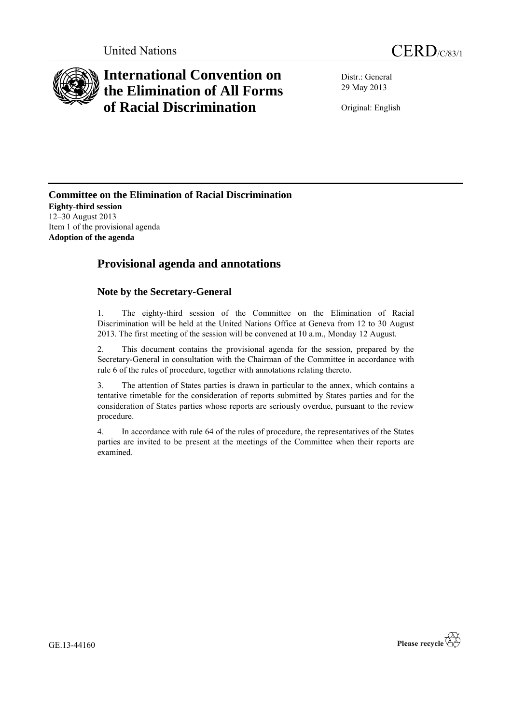

# **International Convention on the Elimination of All Forms of Racial Discrimination**

Distr.: General 29 May 2013

Original: English

**Committee on the Elimination of Racial Discrimination Eighty-third session** 12–30 August 2013 Item 1 of the provisional agenda **Adoption of the agenda**

## **Provisional agenda and annotations**

### **Note by the Secretary-General**

1. The eighty-third session of the Committee on the Elimination of Racial Discrimination will be held at the United Nations Office at Geneva from 12 to 30 August 2013. The first meeting of the session will be convened at 10 a.m., Monday 12 August.

2. This document contains the provisional agenda for the session, prepared by the Secretary-General in consultation with the Chairman of the Committee in accordance with rule 6 of the rules of procedure, together with annotations relating thereto.

3. The attention of States parties is drawn in particular to the annex, which contains a tentative timetable for the consideration of reports submitted by States parties and for the consideration of States parties whose reports are seriously overdue, pursuant to the review procedure.

4. In accordance with rule 64 of the rules of procedure, the representatives of the States parties are invited to be present at the meetings of the Committee when their reports are examined.

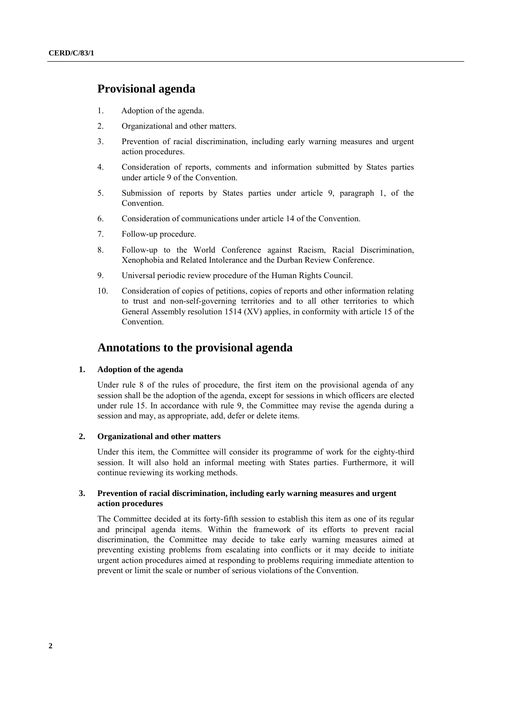### **Provisional agenda**

- 1. Adoption of the agenda.
- 2. Organizational and other matters.
- 3. Prevention of racial discrimination, including early warning measures and urgent action procedures.
- 4. Consideration of reports, comments and information submitted by States parties under article 9 of the Convention.
- 5. Submission of reports by States parties under article 9, paragraph 1, of the Convention.
- 6. Consideration of communications under article 14 of the Convention.
- 7. Follow-up procedure.
- 8. Follow-up to the World Conference against Racism, Racial Discrimination, Xenophobia and Related Intolerance and the Durban Review Conference.
- 9. Universal periodic review procedure of the Human Rights Council.
- 10. Consideration of copies of petitions, copies of reports and other information relating to trust and non-self-governing territories and to all other territories to which General Assembly resolution 1514 (XV) applies, in conformity with article 15 of the Convention.

### **Annotations to the provisional agenda**

#### **1. Adoption of the agenda**

Under rule 8 of the rules of procedure, the first item on the provisional agenda of any session shall be the adoption of the agenda, except for sessions in which officers are elected under rule 15. In accordance with rule 9, the Committee may revise the agenda during a session and may, as appropriate, add, defer or delete items.

#### **2. Organizational and other matters**

Under this item, the Committee will consider its programme of work for the eighty-third session. It will also hold an informal meeting with States parties. Furthermore, it will continue reviewing its working methods.

#### **3. Prevention of racial discrimination, including early warning measures and urgent action procedures**

The Committee decided at its forty-fifth session to establish this item as one of its regular and principal agenda items. Within the framework of its efforts to prevent racial discrimination, the Committee may decide to take early warning measures aimed at preventing existing problems from escalating into conflicts or it may decide to initiate urgent action procedures aimed at responding to problems requiring immediate attention to prevent or limit the scale or number of serious violations of the Convention.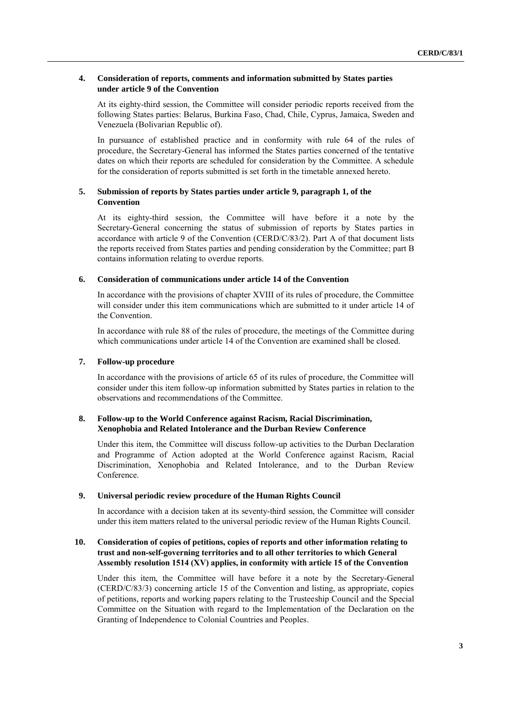#### **4. Consideration of reports, comments and information submitted by States parties under article 9 of the Convention**

At its eighty-third session, the Committee will consider periodic reports received from the following States parties: Belarus, Burkina Faso, Chad, Chile, Cyprus, Jamaica, Sweden and Venezuela (Bolivarian Republic of).

In pursuance of established practice and in conformity with rule 64 of the rules of procedure, the Secretary-General has informed the States parties concerned of the tentative dates on which their reports are scheduled for consideration by the Committee. A schedule for the consideration of reports submitted is set forth in the timetable annexed hereto.

#### **5. Submission of reports by States parties under article 9, paragraph 1, of the Convention**

At its eighty-third session, the Committee will have before it a note by the Secretary-General concerning the status of submission of reports by States parties in accordance with article 9 of the Convention (CERD/C/83/2). Part A of that document lists the reports received from States parties and pending consideration by the Committee; part B contains information relating to overdue reports.

#### **6. Consideration of communications under article 14 of the Convention**

In accordance with the provisions of chapter XVIII of its rules of procedure, the Committee will consider under this item communications which are submitted to it under article 14 of the Convention.

In accordance with rule 88 of the rules of procedure, the meetings of the Committee during which communications under article 14 of the Convention are examined shall be closed.

#### **7. Follow-up procedure**

In accordance with the provisions of article 65 of its rules of procedure, the Committee will consider under this item follow-up information submitted by States parties in relation to the observations and recommendations of the Committee.

#### **8. Follow-up to the World Conference against Racism, Racial Discrimination, Xenophobia and Related Intolerance and the Durban Review Conference**

Under this item, the Committee will discuss follow-up activities to the Durban Declaration and Programme of Action adopted at the World Conference against Racism, Racial Discrimination, Xenophobia and Related Intolerance, and to the Durban Review Conference.

#### **9. Universal periodic review procedure of the Human Rights Council**

In accordance with a decision taken at its seventy-third session, the Committee will consider under this item matters related to the universal periodic review of the Human Rights Council.

#### **10. Consideration of copies of petitions, copies of reports and other information relating to trust and non-self-governing territories and to all other territories to which General Assembly resolution 1514 (XV) applies, in conformity with article 15 of the Convention**

Under this item, the Committee will have before it a note by the Secretary-General (CERD/C/83/3) concerning article 15 of the Convention and listing, as appropriate, copies of petitions, reports and working papers relating to the Trusteeship Council and the Special Committee on the Situation with regard to the Implementation of the Declaration on the Granting of Independence to Colonial Countries and Peoples.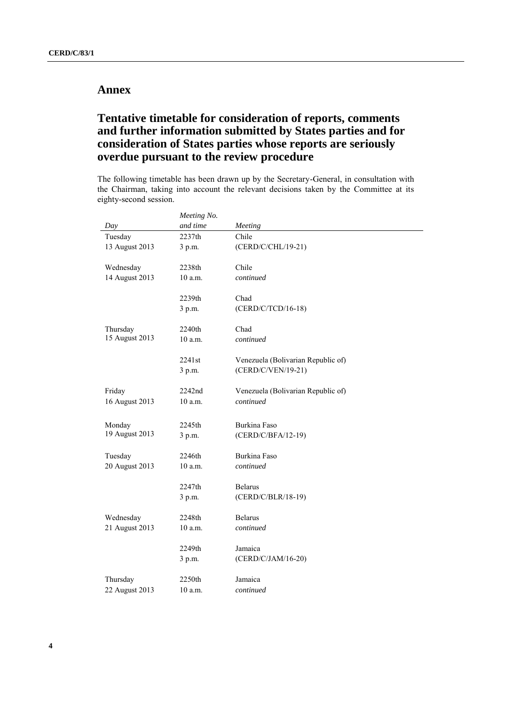## **Annex**

## **Tentative timetable for consideration of reports, comments and further information submitted by States parties and for consideration of States parties whose reports are seriously overdue pursuant to the review procedure**

The following timetable has been drawn up by the Secretary-General, in consultation with the Chairman, taking into account the relevant decisions taken by the Committee at its eighty-second session.

|                            | Meeting No. |                                    |  |
|----------------------------|-------------|------------------------------------|--|
| Day                        | and time    | Meeting                            |  |
| Tuesday                    | 2237th      | Chile                              |  |
| 13 August 2013             | 3 p.m.      | (CERD/C/CHL/19-21)                 |  |
| Wednesday                  | 2238th      | Chile                              |  |
| 14 August 2013             | 10 a.m.     | continued                          |  |
|                            | 2239th      | Chad                               |  |
|                            | 3 p.m.      | (CERD/C/TCD/16-18)                 |  |
| Thursday<br>15 August 2013 | 2240th      | Chad                               |  |
|                            | 10 a.m.     | continued                          |  |
|                            | 2241st      | Venezuela (Bolivarian Republic of) |  |
|                            | 3 p.m.      | (CERD/C/VEN/19-21)                 |  |
| Friday                     | 2242nd      | Venezuela (Bolivarian Republic of) |  |
| 16 August 2013             | 10 a.m.     | continued                          |  |
| Monday                     | 2245th      | Burkina Faso                       |  |
| 19 August 2013             | 3 p.m.      | (CERD/C/BFA/12-19)                 |  |
| Tuesday                    | 2246th      | Burkina Faso                       |  |
| 20 August 2013             | 10 a.m.     | continued                          |  |
|                            | 2247th      | <b>Belarus</b>                     |  |
|                            | 3 p.m.      | (CERD/C/BLR/18-19)                 |  |
| Wednesday                  | 2248th      | <b>Belarus</b>                     |  |
| 21 August 2013             | 10 a.m.     | continued                          |  |
|                            | 2249th      | Jamaica                            |  |
|                            | 3 p.m.      | (CERD/C/JAM/16-20)                 |  |
| Thursday                   | 2250th      | Jamaica                            |  |
| 22 August 2013             | 10 a.m.     | continued                          |  |